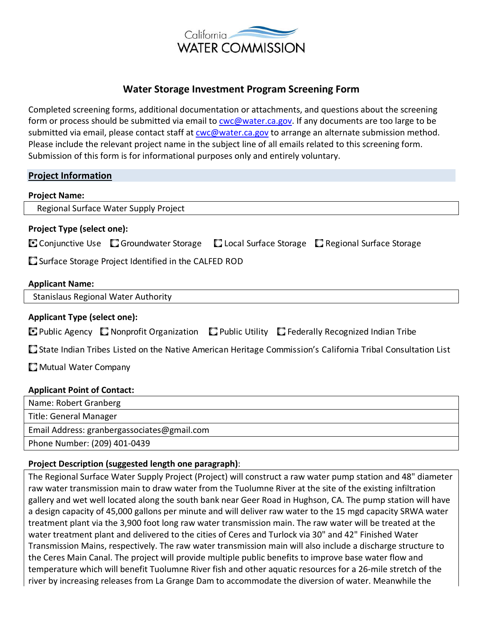

# **Water Storage Investment Program Screening Form**

Completed screening forms, additional documentation or attachments, and questions about the screening form or process should be submitted via email to **cwc@water.ca.gov**. If any documents are too large to be submitted via email, please contact staff at cwc@water.ca.gov to arrange an alternate submission method. Please include the relevant project name in the subject line of all emails related to this screening form. Submission of this form is for informational purposes only and entirely voluntary.

# **Project Information**

| <b>Project Name:</b>                                 |                                                                   |  |                                                    |
|------------------------------------------------------|-------------------------------------------------------------------|--|----------------------------------------------------|
| Regional Surface Water Supply Project                |                                                                   |  |                                                    |
| <b>Project Type (select one):</b>                    |                                                                   |  |                                                    |
|                                                      | $\blacksquare$ Conjunctive Use $\blacksquare$ Groundwater Storage |  | □ Local Surface Storage □ Regional Surface Storage |
| Surface Storage Project Identified in the CALFED ROD |                                                                   |  |                                                    |
| <b>Applicant Name:</b>                               |                                                                   |  |                                                    |
| <b>Stanislaus Regional Water Authority</b>           |                                                                   |  |                                                    |

# **Applicant Type (select one):**

State Indian Tribes Listed on the Native American Heritage Commission's California Tribal Consultation List

**Mutual Water Company** 

# **Applicant Point of Contact:**

| Name: Robert Granberg                       |  |
|---------------------------------------------|--|
| Title: General Manager                      |  |
| Email Address: granbergassociates@gmail.com |  |
| Phone Number: (209) 401-0439                |  |

# **Project Description (suggested length one paragraph)**:

The Regional Surface Water Supply Project (Project) will construct a raw water pump station and 48" diameter raw water transmission main to draw water from the Tuolumne River at the site of the existing infiltration gallery and wet well located along the south bank near Geer Road in Hughson, CA. The pump station will have a design capacity of 45,000 gallons per minute and will deliver raw water to the 15 mgd capacity SRWA water treatment plant via the 3,900 foot long raw water transmission main. The raw water will be treated at the water treatment plant and delivered to the cities of Ceres and Turlock via 30" and 42" Finished Water Transmission Mains, respectively. The raw water transmission main will also include a discharge structure to the Ceres Main Canal. The project will provide multiple public benefits to improve base water flow and temperature which will benefit Tuolumne River fish and other aquatic resources for a 26-mile stretch of the river by increasing releases from La Grange Dam to accommodate the diversion of water. Meanwhile the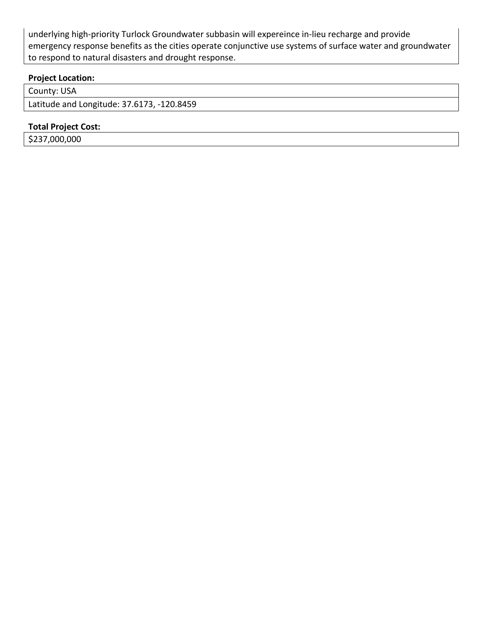underlying high-priority Turlock Groundwater subbasin will expereince in-lieu recharge and provide emergency response benefits as the cities operate conjunctive use systems of surface water and groundwater to respond to natural disasters and drought response.

# **Project Location:**

County: USA

Latitude and Longitude: 37.6173, -120.8459

#### **Total Project Cost:**

\$237,000,000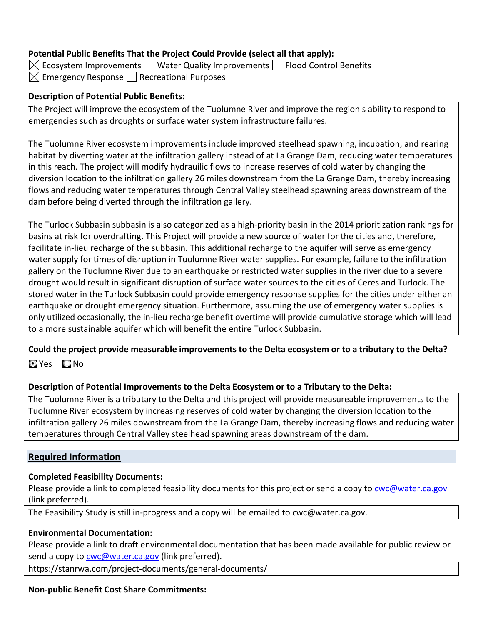# **Potential Public Benefits That the Project Could Provide (select all that apply):**

 $\boxtimes$  Ecosystem Improvements  $\Box$  Water Quality Improvements  $\Box$  Flood Control Benefits  $\boxtimes$  Emergency Response  $\Box$  Recreational Purposes

# **Description of Potential Public Benefits:**

The Project will improve the ecosystem of the Tuolumne River and improve the region's ability to respond to emergencies such as droughts or surface water system infrastructure failures.

The Tuolumne River ecosystem improvements include improved steelhead spawning, incubation, and rearing habitat by diverting water at the infiltration gallery instead of at La Grange Dam, reducing water temperatures in this reach. The project will modify hydrauilic flows to increase reserves of cold water by changing the diversion location to the infiltration gallery 26 miles downstream from the La Grange Dam, thereby increasing flows and reducing water temperatures through Central Valley steelhead spawning areas downstream of the dam before being diverted through the infiltration gallery.

The Turlock Subbasin subbasin is also categorized as a high-priority basin in the 2014 prioritization rankings for basins at risk for overdrafting. This Project will provide a new source of water for the cities and, therefore, facilitate in-lieu recharge of the subbasin. This additional recharge to the aquifer will serve as emergency water supply for times of disruption in Tuolumne River water supplies. For example, failure to the infiltration gallery on the Tuolumne River due to an earthquake or restricted water supplies in the river due to a severe drought would result in significant disruption of surface water sources to the cities of Ceres and Turlock. The stored water in the Turlock Subbasin could provide emergency response supplies for the cities under either an earthquake or drought emergency situation. Furthermore, assuming the use of emergency water supplies is only utilized occasionally, the in-lieu recharge benefit overtime will provide cumulative storage which will lead to a more sustainable aquifer which will benefit the entire Turlock Subbasin.

# **Could the project provide measurable improvements to the Delta ecosystem or to a tributary to the Delta?**  CilYes CilNo

# **Description of Potential Improvements to the Delta Ecosystem or to a Tributary to the Delta:**

The Tuolumne River is a tributary to the Delta and this project will provide measureable improvements to the Tuolumne River ecosystem by increasing reserves of cold water by changing the diversion location to the infiltration gallery 26 miles downstream from the La Grange Dam, thereby increasing flows and reducing water temperatures through Central Valley steelhead spawning areas downstream of the dam.

# **Required Information**

# **Completed Feasibility Documents:**

Please provide a link to completed feasibility documents for this project or send a copy to cwc@water.ca.gov (link preferred).

The Feasibility Study is still in-progress and a copy will be emailed to cwc@water.ca.gov.

# **Environmental Documentation:**

Please provide a link to draft environmental documentation that has been made available for public review or send a copy to **cwc@water.ca.gov** (link preferred).

https://stanrwa.com/project-documents/general-documents/

# **Non-public Benefit Cost Share Commitments:**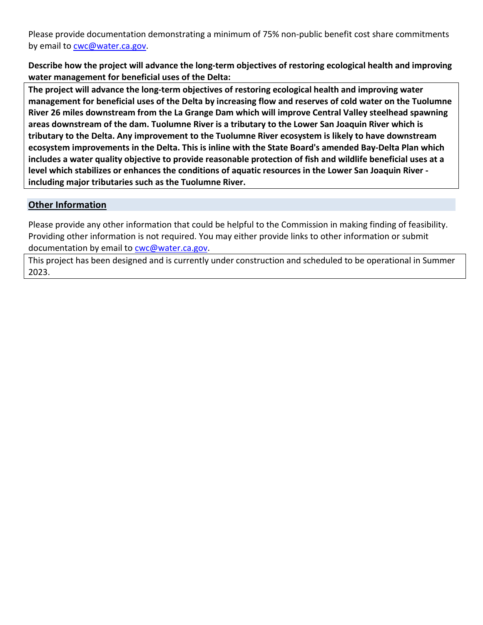Please provide documentation demonstrating a minimum of 75% non-public benefit cost share commitments by email to cwc@water.ca.gov.

**Describe how the project will advance the long-term objectives of restoring ecological health and improving water management for beneficial uses of the Delta:** 

**The project will advance the long-term objectives of restoring ecological health and improving water management for beneficial uses of the Delta by increasing flow and reserves of cold water on the Tuolumne River 26 miles downstream from the La Grange Dam which will improve Central Valley steelhead spawning areas downstream of the dam. Tuolumne River is a tributary to the Lower San Joaquin River which is tributary to the Delta. Any improvement to the Tuolumne River ecosystem is likely to have downstream ecosystem improvements in the Delta. This is inline with the State Board's amended Bay-Delta Plan which includes a water quality objective to provide reasonable protection of fish and wildlife beneficial uses at a level which stabilizes or enhances the conditions of aquatic resources in the Lower San Joaquin River including major tributaries such as the Tuolumne River.** 

# **Other Information**

Please provide any other information that could be helpful to the Commission in making finding of feasibility. Providing other information is not required. You may either provide links to other information or submit documentation by email to cwc@water.ca.gov.

This project has been designed and is currently under construction and scheduled to be operational in Summer 2023.